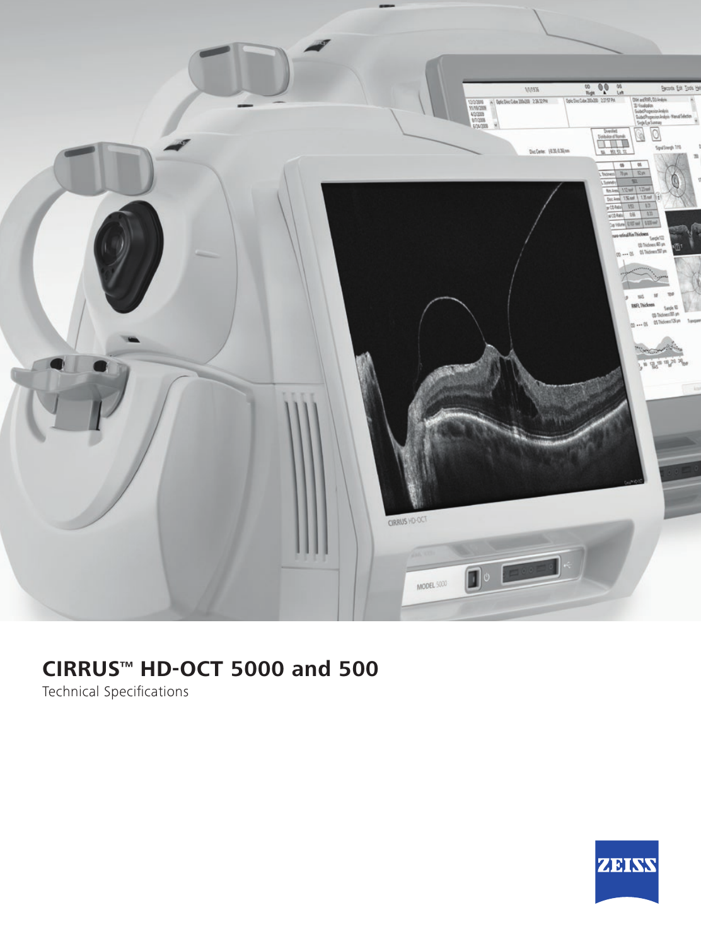

## **CIRRUS™ HD-OCT 5000 and 500**

Technical Specifications